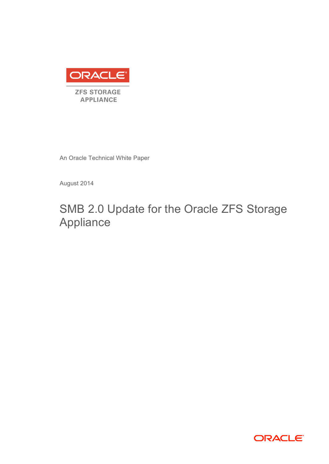

An Oracle Technical White Paper

August 2014

# SMB 2.0 Update for the Oracle ZFS Storage Appliance

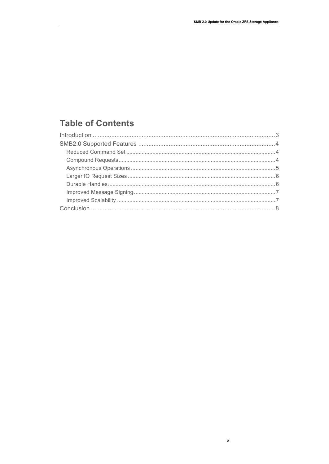## **Table of Contents**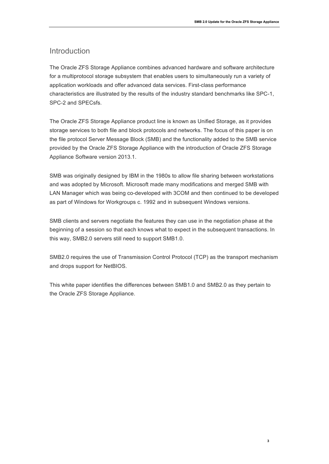### Introduction

The Oracle ZFS Storage Appliance combines advanced hardware and software architecture for a multiprotocol storage subsystem that enables users to simultaneously run a variety of application workloads and offer advanced data services. First-class performance characteristics are illustrated by the results of the industry standard benchmarks like SPC-1, SPC-2 and SPECsfs.

The Oracle ZFS Storage Appliance product line is known as Unified Storage, as it provides storage services to both file and block protocols and networks. The focus of this paper is on the file protocol Server Message Block (SMB) and the functionality added to the SMB service provided by the Oracle ZFS Storage Appliance with the introduction of Oracle ZFS Storage Appliance Software version 2013.1.

SMB was originally designed by IBM in the 1980s to allow file sharing between workstations and was adopted by Microsoft. Microsoft made many modifications and merged SMB with LAN Manager which was being co-developed with 3COM and then continued to be developed as part of Windows for Workgroups c. 1992 and in subsequent Windows versions.

SMB clients and servers negotiate the features they can use in the negotiation phase at the beginning of a session so that each knows what to expect in the subsequent transactions. In this way, SMB2.0 servers still need to support SMB1.0.

SMB2.0 requires the use of Transmission Control Protocol (TCP) as the transport mechanism and drops support for NetBIOS.

This white paper identifies the differences between SMB1.0 and SMB2.0 as they pertain to the Oracle ZFS Storage Appliance.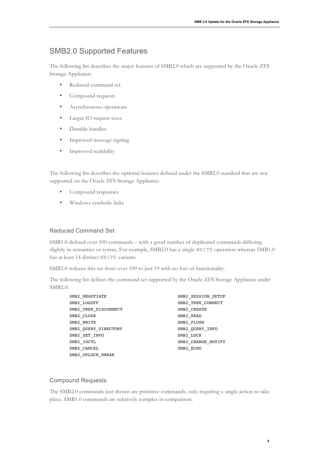## SMB2.0 Supported Features

The following list describes the major features of SMB2.0 which are supported by the Oracle ZFS Storage Appliance:

- Reduced command set
- Compound requests
- Asynchronous operations
- Larger IO request sizes
- Durable handles
- Improved message signing
- Improved scalability

The following list describes the optional features defined under the SMB2.0 standard that are not supported on the Oracle ZFS Storage Appliance:

- Compound responses
- Windows symbolic links

#### Reduced Command Set

SMB1.0 defined over 100 commands – with a good number of duplicated commands differing slightly in semantics or syntax. For example, SMB2.0 has a single WRITE operation whereas SMB1.0 has at least 14 distinct WRITE variants.

SMB2.0 reduces this set from over 100 to just 19 with no loss of functionality.

The following list defines the command set supported by the Oracle ZFS Storage Appliance under SMB2.0:

| SMB2 NEGOTIATE       | SMB2 SESSION SETUP |
|----------------------|--------------------|
| SMB2 LOGOFF          | SMB2 TREE CONNECT  |
| SMB2 TREE DISCONNECT | SMB2 CREATE        |
| SMB2 CLOSE           | SMB2 READ          |
| SMB2 WRITE           | SMB2 FLUSH         |
| SMB2 QUERY DIRECTORY | SMB2 QUERY INFO    |
| SMB2 SET INFO        | SMB2 LOCK          |
| SMB2 IOCTL           | SMB2 CHANGE NOTIFY |
| SMB2 CANCEL          | SMB2 ECHO          |
| SMB2 OPLOCK BREAK    |                    |

#### Compound Requests

The SMB2.0 commands just shown are primitive commands, only requiring a single action to take place. SMB1.0 commands are relatively complex in comparison.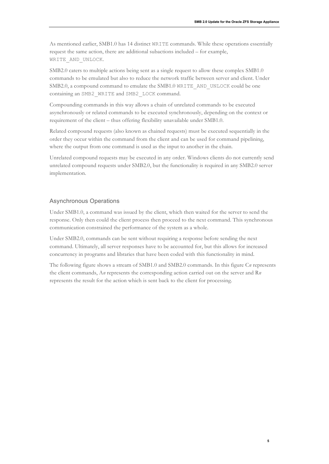**5**

As mentioned earlier, SMB1.0 has 14 distinct WRITE commands. While these operations essentially request the same action, there are additional subactions included – for example, WRITE AND UNLOCK.

SMB2.0 caters to multiple actions being sent as a single request to allow these complex SMB1.0 commands to be emulated but also to reduce the network traffic between server and client. Under SMB2.0, a compound command to emulate the SMB1.0 WRITE\_AND\_UNLOCK could be one containing an SMB2\_WRITE and SMB2\_LOCK command.

Compounding commands in this way allows a chain of unrelated commands to be executed asynchronously or related commands to be executed synchronously, depending on the context or requirement of the client – thus offering flexibility unavailable under SMB1.0.

Related compound requests (also known as chained requests) must be executed sequentially in the order they occur within the command from the client and can be used for command pipelining, where the output from one command is used as the input to another in the chain.

Unrelated compound requests may be executed in any order. Windows clients do not currently send unrelated compound requests under SMB2.0, but the functionality is required in any SMB2.0 server implementation.

#### Asynchronous Operations

Under SMB1.0, a command was issued by the client, which then waited for the server to send the response. Only then could the client process then proceed to the next command. This synchronous communication constrained the performance of the system as a whole.

Under SMB2.0, commands can be sent without requiring a response before sending the next command. Ultimately, all server responses have to be accounted for, but this allows for increased concurrency in programs and libraries that have been coded with this functionality in mind.

The following figure shows a stream of SMB1.0 and SMB2.0 commands. In this figure C*n* represents the client commands, A*n* represents the corresponding action carried out on the server and R*n* represents the result for the action which is sent back to the client for processing.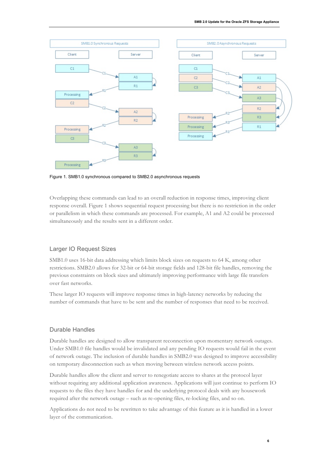

Figure 1. SMB1.0 synchronous compared to SMB2.0 asynchronous requests

Overlapping these commands can lead to an overall reduction in response times, improving client response overall. Figure 1 shows sequential request processing but there is no restriction in the order or parallelism in which these commands are processed. For example, A1 and A2 could be processed simultaneously and the results sent in a different order.

#### Larger IO Request Sizes

SMB1.0 uses 16-bit data addressing which limits block sizes on requests to 64 K, among other restrictions. SMB2.0 allows for 32-bit or 64-bit storage fields and 128-bit file handles, removing the previous constraints on block sizes and ultimately improving performance with large file transfers over fast networks.

These larger IO requests will improve response times in high-latency networks by reducing the number of commands that have to be sent and the number of responses that need to be received.

#### Durable Handles

Durable handles are designed to allow transparent reconnection upon momentary network outages. Under SMB1.0 file handles would be invalidated and any pending IO requests would fail in the event of network outage. The inclusion of durable handles in SMB2.0 was designed to improve accessibility on temporary disconnection such as when moving between wireless network access points.

Durable handles allow the client and server to renegotiate access to shares at the protocol layer without requiring any additional application awareness. Applications will just continue to perform IO requests to the files they have handles for and the underlying protocol deals with any housework required after the network outage – such as re-opening files, re-locking files, and so on.

Applications do not need to be rewritten to take advantage of this feature as it is handled in a lower layer of the communication.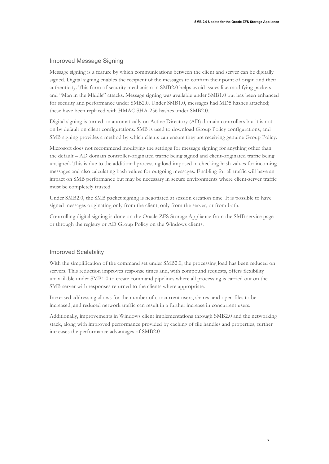#### Improved Message Signing

Message signing is a feature by which communications between the client and server can be digitally signed. Digital signing enables the recipient of the messages to confirm their point of origin and their authenticity. This form of security mechanism in SMB2.0 helps avoid issues like modifying packets and "Man in the Middle" attacks. Message signing was available under SMB1.0 but has been enhanced for security and performance under SMB2.0. Under SMB1.0, messages had MD5 hashes attached; these have been replaced with HMAC SHA-256 hashes under SMB2.0.

Digital signing is turned on automatically on Active Directory (AD) domain controllers but it is not on by default on client configurations. SMB is used to download Group Policy configurations, and SMB signing provides a method by which clients can ensure they are receiving genuine Group Policy.

Microsoft does not recommend modifying the settings for message signing for anything other than the default – AD domain controller-originated traffic being signed and client-originated traffic being unsigned. This is due to the additional processing load imposed in checking hash values for incoming messages and also calculating hash values for outgoing messages. Enabling for all traffic will have an impact on SMB performance but may be necessary in secure environments where client-server traffic must be completely trusted.

Under SMB2.0, the SMB packet signing is negotiated at session creation time. It is possible to have signed messages originating only from the client, only from the server, or from both.

Controlling digital signing is done on the Oracle ZFS Storage Appliance from the SMB service page or through the registry or AD Group Policy on the Windows clients.

#### Improved Scalability

With the simplification of the command set under SMB2.0, the processing load has been reduced on servers. This reduction improves response times and, with compound requests, offers flexibility unavailable under SMB1.0 to create command pipelines where all processing is carried out on the SMB server with responses returned to the clients where appropriate.

Increased addressing allows for the number of concurrent users, shares, and open files to be increased, and reduced network traffic can result in a further increase in concurrent users.

Additionally, improvements in Windows client implementations through SMB2.0 and the networking stack, along with improved performance provided by caching of file handles and properties, further increases the performance advantages of SMB2.0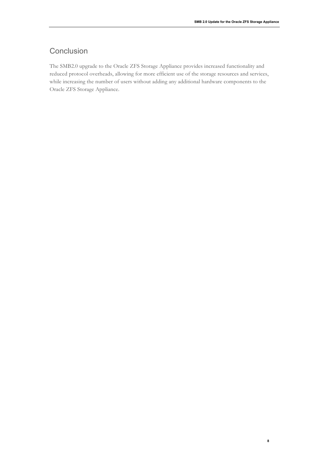**8**

## **Conclusion**

The SMB2.0 upgrade to the Oracle ZFS Storage Appliance provides increased functionality and reduced protocol overheads, allowing for more efficient use of the storage resources and services, while increasing the number of users without adding any additional hardware components to the Oracle ZFS Storage Appliance.